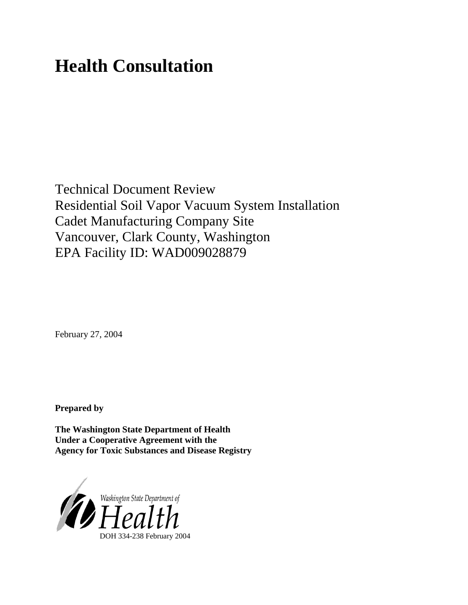# **Health Consultation**

Technical Document Review Residential Soil Vapor Vacuum System Installation Cadet Manufacturing Company Site Vancouver, Clark County, Washington EPA Facility ID: WAD009028879

February 27, 2004

**Prepared by**

**The Washington State Department of Health Under a Cooperative Agreement with the Agency for Toxic Substances and Disease Registry**

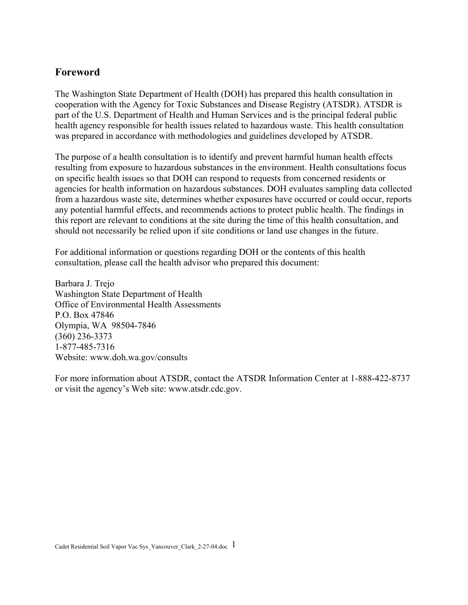#### **Foreword**

The Washington State Department of Health (DOH) has prepared this health consultation in cooperation with the Agency for Toxic Substances and Disease Registry (ATSDR). ATSDR is part of the U.S. Department of Health and Human Services and is the principal federal public health agency responsible for health issues related to hazardous waste. This health consultation was prepared in accordance with methodologies and guidelines developed by ATSDR.

The purpose of a health consultation is to identify and prevent harmful human health effects resulting from exposure to hazardous substances in the environment. Health consultations focus on specific health issues so that DOH can respond to requests from concerned residents or agencies for health information on hazardous substances. DOH evaluates sampling data collected from a hazardous waste site, determines whether exposures have occurred or could occur, reports any potential harmful effects, and recommends actions to protect public health. The findings in this report are relevant to conditions at the site during the time of this health consultation, and should not necessarily be relied upon if site conditions or land use changes in the future.

For additional information or questions regarding DOH or the contents of this health consultation, please call the health advisor who prepared this document:

Barbara J. Trejo Washington State Department of Health Office of Environmental Health Assessments P.O. Box 47846 Olympia, WA 98504-7846 (360) 236-3373 1-877-485-7316 Website: [www.doh.wa.gov/](http://www.doh.wa.gov/consults)consults

For more information about ATSDR, contact the ATSDR Information Center at 1-888-422-8737 or visit the agency's Web site: www.atsdr.cdc.gov.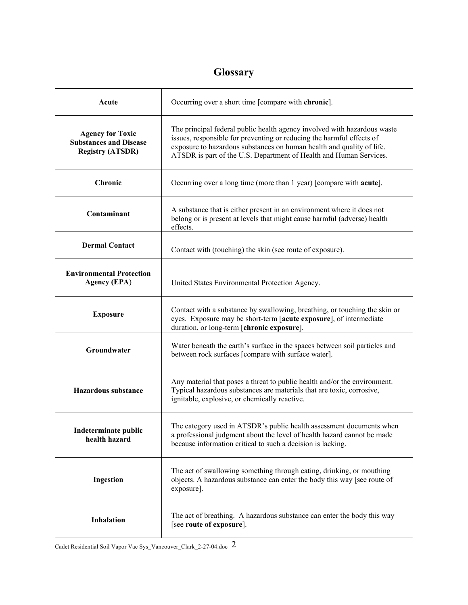# **Glossary**

| Acute                                                                               | Occurring over a short time [compare with chronic].                                                                                                                                                                                                                                              |
|-------------------------------------------------------------------------------------|--------------------------------------------------------------------------------------------------------------------------------------------------------------------------------------------------------------------------------------------------------------------------------------------------|
| <b>Agency for Toxic</b><br><b>Substances and Disease</b><br><b>Registry (ATSDR)</b> | The principal federal public health agency involved with hazardous waste<br>issues, responsible for preventing or reducing the harmful effects of<br>exposure to hazardous substances on human health and quality of life.<br>ATSDR is part of the U.S. Department of Health and Human Services. |
| Chronic                                                                             | Occurring over a long time (more than 1 year) [compare with <b>acute</b> ].                                                                                                                                                                                                                      |
| Contaminant                                                                         | A substance that is either present in an environment where it does not<br>belong or is present at levels that might cause harmful (adverse) health<br>effects.                                                                                                                                   |
| <b>Dermal Contact</b>                                                               | Contact with (touching) the skin (see route of exposure).                                                                                                                                                                                                                                        |
| <b>Environmental Protection</b><br><b>Agency (EPA)</b>                              | United States Environmental Protection Agency.                                                                                                                                                                                                                                                   |
| <b>Exposure</b>                                                                     | Contact with a substance by swallowing, breathing, or touching the skin or<br>eyes. Exposure may be short-term [acute exposure], of intermediate<br>duration, or long-term [chronic exposure].                                                                                                   |
| Groundwater                                                                         | Water beneath the earth's surface in the spaces between soil particles and<br>between rock surfaces [compare with surface water].                                                                                                                                                                |
| <b>Hazardous substance</b>                                                          | Any material that poses a threat to public health and/or the environment.<br>Typical hazardous substances are materials that are toxic, corrosive,<br>ignitable, explosive, or chemically reactive.                                                                                              |
| Indeterminate public<br>health hazard                                               | The category used in ATSDR's public health assessment documents when<br>a professional judgment about the level of health hazard cannot be made<br>because information critical to such a decision is lacking.                                                                                   |
| Ingestion                                                                           | The act of swallowing something through eating, drinking, or mouthing<br>objects. A hazardous substance can enter the body this way [see route of<br>exposure].                                                                                                                                  |
| Inhalation                                                                          | The act of breathing. A hazardous substance can enter the body this way<br>[see route of exposure].                                                                                                                                                                                              |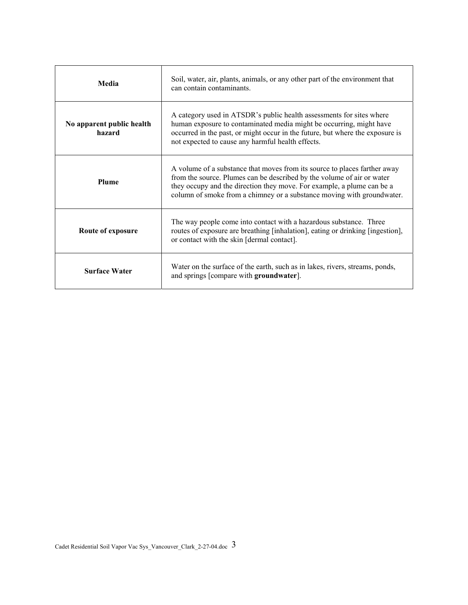| Media                               | Soil, water, air, plants, animals, or any other part of the environment that<br>can contain contaminants.                                                                                                                                                                                               |
|-------------------------------------|---------------------------------------------------------------------------------------------------------------------------------------------------------------------------------------------------------------------------------------------------------------------------------------------------------|
| No apparent public health<br>hazard | A category used in ATSDR's public health assessments for sites where<br>human exposure to contaminated media might be occurring, might have<br>occurred in the past, or might occur in the future, but where the exposure is<br>not expected to cause any harmful health effects.                       |
| Plume                               | A volume of a substance that moves from its source to places farther away<br>from the source. Plumes can be described by the volume of air or water<br>they occupy and the direction they move. For example, a plume can be a<br>column of smoke from a chimney or a substance moving with groundwater. |
| Route of exposure                   | The way people come into contact with a hazardous substance. Three<br>routes of exposure are breathing [inhalation], eating or drinking [ingestion],<br>or contact with the skin [dermal contact].                                                                                                      |
| <b>Surface Water</b>                | Water on the surface of the earth, such as in lakes, rivers, streams, ponds,<br>and springs [compare with groundwater].                                                                                                                                                                                 |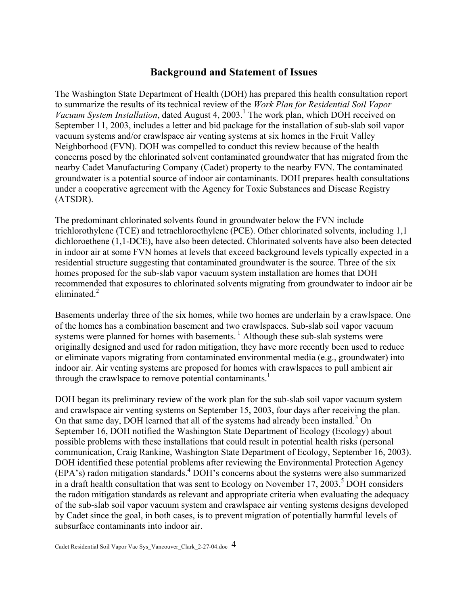# **Background and Statement of Issues**

The Washington State Department of Health (DOH) has prepared this health consultation report to summarize the results of its technical review of the *Work Plan for Residential Soil Vapor*  Vacuum System Installation, dated August 4, 2003.<sup>1</sup> The work plan, which DOH received on September 11, 2003, includes a letter and bid package for the installation of sub-slab soil vapor vacuum systems and/or crawlspace air venting systems at six homes in the Fruit Valley Neighborhood (FVN). DOH was compelled to conduct this review because of the health concerns posed by the chlorinated solvent contaminated groundwater that has migrated from the nearby Cadet Manufacturing Company (Cadet) property to the nearby FVN. The contaminated groundwater is a potential source of indoor air contaminants. DOH prepares health consultations under a cooperative agreement with the Agency for Toxic Substances and Disease Registry (ATSDR).

The predominant chlorinated solvents found in groundwater below the FVN include trichlorothylene (TCE) and tetrachloroethylene (PCE). Other chlorinated solvents, including 1,1 dichloroethene (1,1-DCE), have also been detected. Chlorinated solvents have also been detected in indoor air at some FVN homes at levels that exceed background levels typically expected in a residential structure suggesting that contaminated groundwater is the source. Three of the six homes proposed for the sub-slab vapor vacuum system installation are homes that DOH recommended that exposures to chlorinated solvents migrating from groundwater to indoor air be eliminated. $2$ 

Basements underlay three of the six homes, while two homes are underlain by a crawlspace. One of the homes has a combination basement and two crawlspaces. Sub-slab soil vapor vacuum systems were planned for homes with basements.<sup>1</sup> Although these sub-slab systems were originally designed and used for radon mitigation, they have more recently been used to reduce or eliminate vapors migrating from contaminated environmental media (e.g., groundwater) into indoor air. Air venting systems are proposed for homes with crawlspaces to pull ambient air through the crawlspace to remove potential contaminants.<sup>1</sup>

DOH began its preliminary review of the work plan for the sub-slab soil vapor vacuum system and crawlspace air venting systems on September 15, 2003, four days after receiving the plan. On that same day, DOH learned that all of the systems had already been installed.<sup>3</sup> On September 16, DOH notified the Washington State Department of Ecology (Ecology) about possible problems with these installations that could result in potential health risks (personal communication, Craig Rankine, Washington State Department of Ecology, September 16, 2003). DOH identified these potential problems after reviewing the Environmental Protection Agency (EPA's) radon mitigation standards.4 DOH's concerns about the systems were also summarized in a draft health consultation that was sent to Ecology on November 17, 2003.<sup>5</sup> DOH considers the radon mitigation standards as relevant and appropriate criteria when evaluating the adequacy of the sub-slab soil vapor vacuum system and crawlspace air venting systems designs developed by Cadet since the goal, in both cases, is to prevent migration of potentially harmful levels of subsurface contaminants into indoor air.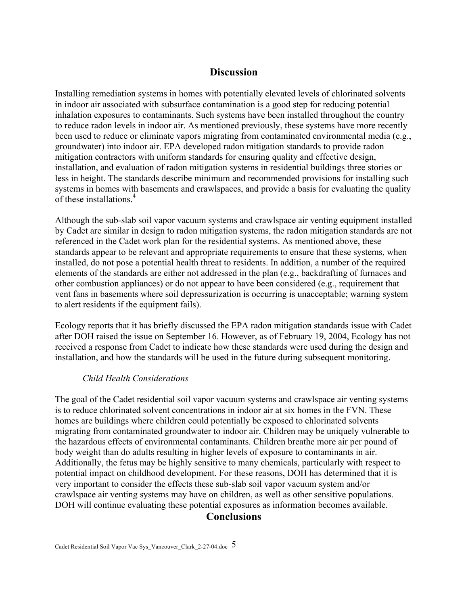#### **Discussion**

Installing remediation systems in homes with potentially elevated levels of chlorinated solvents in indoor air associated with subsurface contamination is a good step for reducing potential inhalation exposures to contaminants. Such systems have been installed throughout the country to reduce radon levels in indoor air. As mentioned previously, these systems have more recently been used to reduce or eliminate vapors migrating from contaminated environmental media (e.g., groundwater) into indoor air. EPA developed radon mitigation standards to provide radon mitigation contractors with uniform standards for ensuring quality and effective design, installation, and evaluation of radon mitigation systems in residential buildings three stories or less in height. The standards describe minimum and recommended provisions for installing such systems in homes with basements and crawlspaces, and provide a basis for evaluating the quality of these installations.<sup>4</sup>

Although the sub-slab soil vapor vacuum systems and crawlspace air venting equipment installed by Cadet are similar in design to radon mitigation systems, the radon mitigation standards are not referenced in the Cadet work plan for the residential systems. As mentioned above, these standards appear to be relevant and appropriate requirements to ensure that these systems, when installed, do not pose a potential health threat to residents. In addition, a number of the required elements of the standards are either not addressed in the plan (e.g., backdrafting of furnaces and other combustion appliances) or do not appear to have been considered (e.g., requirement that vent fans in basements where soil depressurization is occurring is unacceptable; warning system to alert residents if the equipment fails).

Ecology reports that it has briefly discussed the EPA radon mitigation standards issue with Cadet after DOH raised the issue on September 16. However, as of February 19, 2004, Ecology has not received a response from Cadet to indicate how these standards were used during the design and installation, and how the standards will be used in the future during subsequent monitoring.

#### *Child Health Considerations*

The goal of the Cadet residential soil vapor vacuum systems and crawlspace air venting systems is to reduce chlorinated solvent concentrations in indoor air at six homes in the FVN. These homes are buildings where children could potentially be exposed to chlorinated solvents migrating from contaminated groundwater to indoor air. Children may be uniquely vulnerable to the hazardous effects of environmental contaminants. Children breathe more air per pound of body weight than do adults resulting in higher levels of exposure to contaminants in air. Additionally, the fetus may be highly sensitive to many chemicals, particularly with respect to potential impact on childhood development. For these reasons, DOH has determined that it is very important to consider the effects these sub-slab soil vapor vacuum system and/or crawlspace air venting systems may have on children, as well as other sensitive populations. DOH will continue evaluating these potential exposures as information becomes available.

#### **Conclusions**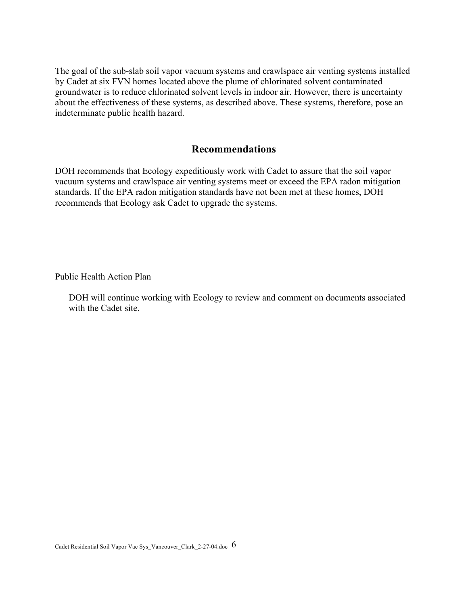The goal of the sub-slab soil vapor vacuum systems and crawlspace air venting systems installed by Cadet at six FVN homes located above the plume of chlorinated solvent contaminated groundwater is to reduce chlorinated solvent levels in indoor air. However, there is uncertainty about the effectiveness of these systems, as described above. These systems, therefore, pose an indeterminate public health hazard.

#### **Recommendations**

DOH recommends that Ecology expeditiously work with Cadet to assure that the soil vapor vacuum systems and crawlspace air venting systems meet or exceed the EPA radon mitigation standards. If the EPA radon mitigation standards have not been met at these homes, DOH recommends that Ecology ask Cadet to upgrade the systems.

Public Health Action Plan

DOH will continue working with Ecology to review and comment on documents associated with the Cadet site.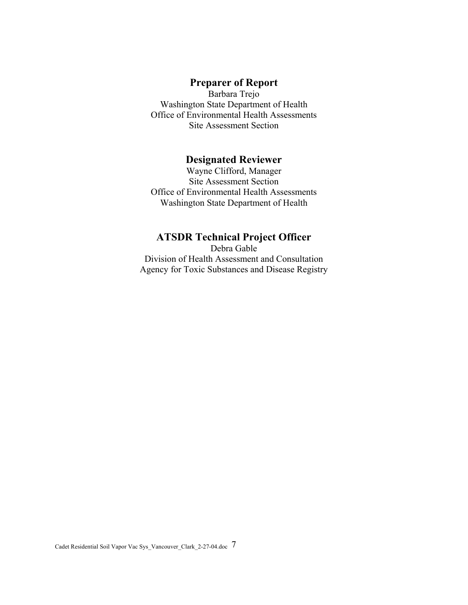#### **Preparer of Report**

Barbara Trejo Washington State Department of Health Office of Environmental Health Assessments Site Assessment Section

#### **Designated Reviewer**

Wayne Clifford, Manager Site Assessment Section Office of Environmental Health Assessments Washington State Department of Health

## **ATSDR Technical Project Officer**

Debra Gable Division of Health Assessment and Consultation Agency for Toxic Substances and Disease Registry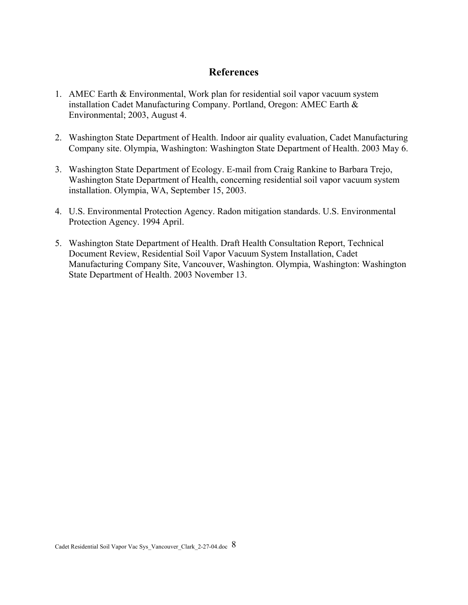## **References**

- 1. AMEC Earth & Environmental, Work plan for residential soil vapor vacuum system installation Cadet Manufacturing Company. Portland, Oregon: AMEC Earth & Environmental; 2003, August 4.
- 2. Washington State Department of Health. Indoor air quality evaluation, Cadet Manufacturing Company site. Olympia, Washington: Washington State Department of Health. 2003 May 6.
- 3. Washington State Department of Ecology. E-mail from Craig Rankine to Barbara Trejo, Washington State Department of Health, concerning residential soil vapor vacuum system installation. Olympia, WA, September 15, 2003.
- 4. U.S. Environmental Protection Agency. Radon mitigation standards. U.S. Environmental Protection Agency. 1994 April.
- 5. Washington State Department of Health. Draft Health Consultation Report, Technical Document Review, Residential Soil Vapor Vacuum System Installation, Cadet Manufacturing Company Site, Vancouver, Washington. Olympia, Washington: Washington State Department of Health. 2003 November 13.